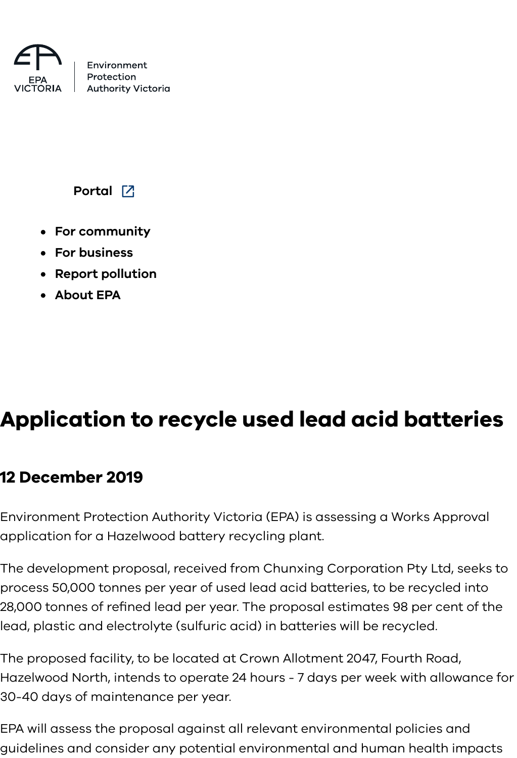

Environment Protection **Authority Victoria** 

**Portal** [7]

- **For community**
- **For business**
- **Report pollution**
- **About EPA**

# **Application to recycle used lead acid batteries**

## **12 December 2019**

Environment Protection Authority Victoria (EPA) is assessing a Works Approval application for a Hazelwood battery recycling plant.

The development proposal, received from Chunxing Corporation Pty Ltd, seeks to process 50,000 tonnes per year of used lead acid batteries, to be recycled into 28,000 tonnes of refined lead per year. The proposal estimates 98 per cent of the lead, plastic and electrolyte (sulfuric acid) in batteries will be recycled.

The proposed facility, to be located at Crown Allotment 2047, Fourth Road, Hazelwood North, intends to operate 24 hours - 7 days per week with allowance for 30-40 days of maintenance per year.

EPA will assess the proposal against all relevant environmental policies and guidelines and consider any potential environmental and human health impacts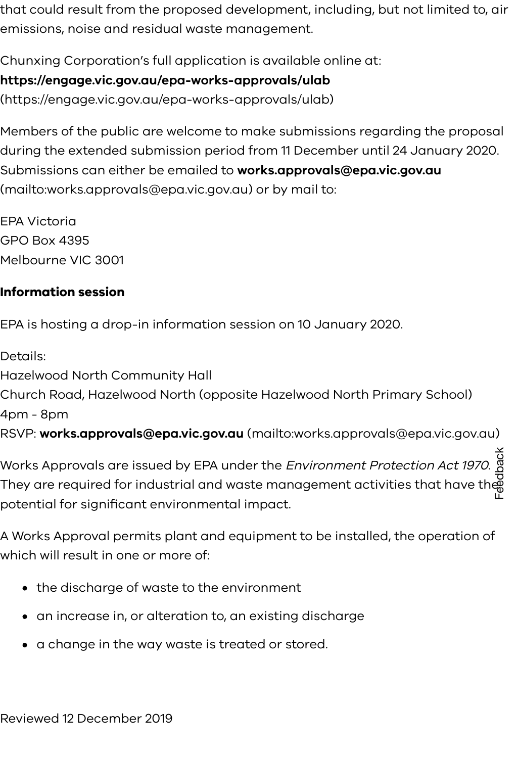that could result from the proposed development, including, but not limited to, air emissions, noise and residual waste management.

Chunxing Corporation's full application is available online at:

### **https://engage.vic.gov.au/epa-works-approvals/ulab**

(https://engage.vic.gov.au/epa-works-approvals/ulab)

Members of the public are welcome to make submissions regarding the proposal during the extended submission period from 11 December until 24 January 2020. Submissions can either be emailed to **works.approvals@epa.vic.gov.au** (mailto:works.approvals@epa.vic.gov.au) or by mail to:

EPA Victoria GPO Box 4395 Melbourne VIC 3001

#### **Information session**

EPA is hosting a drop-in information session on 10 January 2020.

- Details:
- Hazelwood North Community Hall
- Church Road, Hazelwood North (opposite Hazelwood North Primary School) 4pm - 8pm
- RSVP: **works.approvals@epa.vic.gov.au** (mailto:works.approvals@epa.vic.gov.au)

Works Approvals are issued by EPA under the *Environment Protection Act 1970*. They are required for industrial and waste management activities that have the potential for significant environmental impact. Feedback

A Works Approval permits plant and equipment to be installed, the operation of which will result in one or more of:

- the discharge of waste to the environment
- an increase in, or alteration to, an existing discharge
- a change in the way waste is treated or stored.